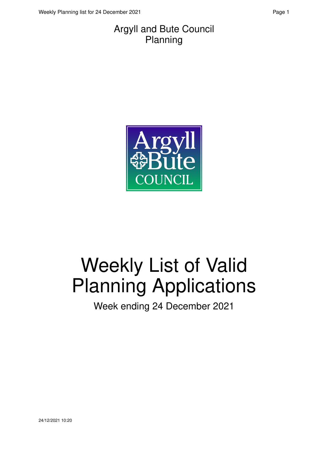

# Weekly List of Valid Planning Applications

Week ending 24 December 2021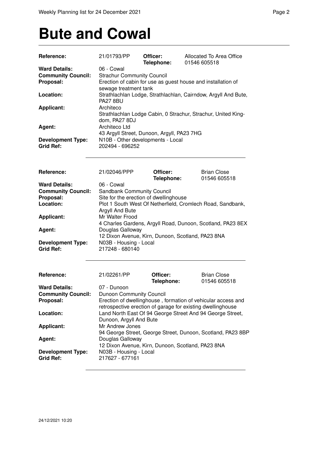## **Bute and Cowal**

| Reference:                                         | 21/01793/PP                                                  | Officer:<br>Telephone: | Allocated To Area Office<br>01546 605518                       |
|----------------------------------------------------|--------------------------------------------------------------|------------------------|----------------------------------------------------------------|
| <b>Ward Details:</b>                               | 06 - Cowal                                                   |                        |                                                                |
| <b>Community Council:</b>                          | <b>Strachur Community Council</b>                            |                        |                                                                |
| Proposal:                                          | Erection of cabin for use as guest house and installation of |                        |                                                                |
|                                                    | sewage treatment tank                                        |                        |                                                                |
| Location:                                          |                                                              |                        | Strathlachlan Lodge, Strathlachlan, Cairndow, Argyll And Bute, |
|                                                    | <b>PA27 8BU</b>                                              |                        |                                                                |
| <b>Applicant:</b>                                  | Architeco                                                    |                        |                                                                |
|                                                    |                                                              |                        | Strathlachlan Lodge Cabin, 0 Strachur, Strachur, United King-  |
|                                                    | dom, PA27 8DJ                                                |                        |                                                                |
| Agent:                                             | Architeco Ltd                                                |                        |                                                                |
|                                                    | 43 Argyll Street, Dunoon, Argyll, PA23 7HG                   |                        |                                                                |
| <b>Development Type:</b>                           | N10B - Other developments - Local                            |                        |                                                                |
| <b>Grid Ref:</b>                                   | 202494 - 696252                                              |                        |                                                                |
|                                                    |                                                              |                        |                                                                |
| Reference:                                         | 21/02046/PPP                                                 | Officer:               | <b>Brian Close</b>                                             |
|                                                    |                                                              | Telephone:             | 01546 605518                                                   |
| <b>Ward Details:</b>                               | 06 - Cowal                                                   |                        |                                                                |
| <b>Community Council:</b>                          | Sandbank Community Council                                   |                        |                                                                |
|                                                    |                                                              |                        |                                                                |
| Proposal:                                          | Site for the erection of dwellinghouse                       |                        |                                                                |
| Location:                                          |                                                              |                        | Plot 1 South West Of Netherfield, Cromlech Road, Sandbank,     |
|                                                    | Argyll And Bute                                              |                        |                                                                |
| <b>Applicant:</b>                                  | Mr Walter Frood                                              |                        |                                                                |
|                                                    |                                                              |                        | 4 Charles Gardens, Argyll Road, Dunoon, Scotland, PA23 8EX     |
| Agent:                                             | Douglas Galloway                                             |                        |                                                                |
|                                                    |                                                              |                        | 12 Dixon Avenue, Kirn, Dunoon, Scotland, PA23 8NA              |
| <b>Development Type:</b>                           | N03B - Housing - Local                                       |                        |                                                                |
| <b>Grid Ref:</b>                                   | 217248 - 680140                                              |                        |                                                                |
|                                                    |                                                              |                        |                                                                |
| <b>Reference:</b>                                  | 21/02261/PP                                                  | Officer:               | <b>Brian Close</b>                                             |
|                                                    |                                                              | Telephone:             | 01546 605518                                                   |
| <b>Ward Details:</b>                               | 07 - Dunoon                                                  |                        |                                                                |
| <b>Community Council:</b> Dunoon Community Council |                                                              |                        |                                                                |
| Proposal:                                          |                                                              |                        | Erection of dwellinghouse, formation of vehicular access and   |
|                                                    |                                                              |                        | retrospective erection of garage for existing dwellinghouse    |
| Location:                                          |                                                              |                        | Land North East Of 94 George Street And 94 George Street,      |
|                                                    | Dunoon, Argyll And Bute                                      |                        |                                                                |
| <b>Applicant:</b>                                  | Mr Andrew Jones                                              |                        |                                                                |
|                                                    |                                                              |                        |                                                                |
|                                                    |                                                              |                        | 94 George Street, George Street, Dunoon, Scotland, PA23 8BP    |
| Agent:                                             | Douglas Galloway                                             |                        |                                                                |
|                                                    |                                                              |                        | 12 Dixon Avenue, Kirn, Dunoon, Scotland, PA23 8NA              |
| <b>Development Type:</b>                           | N03B - Housing - Local                                       |                        |                                                                |
| <b>Grid Ref:</b>                                   | 217627 - 677161                                              |                        |                                                                |
|                                                    |                                                              |                        |                                                                |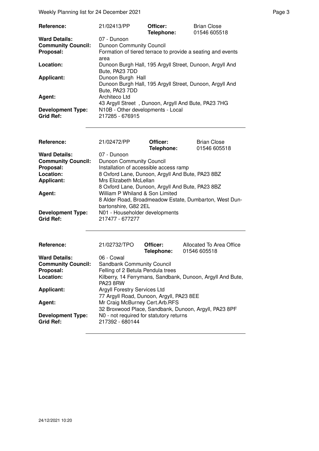Weekly Planning list for 24 December 2021 **Page 3** Page 3

| Reference:                                   | 21/02413/PP                                                                                     | Officer:<br>Telephone: | <b>Brian Close</b><br>01546 605518 |
|----------------------------------------------|-------------------------------------------------------------------------------------------------|------------------------|------------------------------------|
| <b>Ward Details:</b>                         | 07 - Dunoon                                                                                     |                        |                                    |
| <b>Community Council:</b>                    | <b>Dunoon Community Council</b>                                                                 |                        |                                    |
| Proposal:                                    | Formation of tiered terrace to provide a seating and events<br>area                             |                        |                                    |
| Location:                                    | Dunoon Burgh Hall, 195 Argyll Street, Dunoon, Argyll And<br>Bute, PA23 7DD                      |                        |                                    |
| <b>Applicant:</b>                            | Dunoon Burgh Hall<br>Dunoon Burgh Hall, 195 Argyll Street, Dunoon, Argyll And<br>Bute, PA23 7DD |                        |                                    |
| Agent:                                       | Architeco Ltd<br>43 Argyll Street, Dunoon, Argyll And Bute, PA23 7HG                            |                        |                                    |
| <b>Development Type:</b><br><b>Grid Ref:</b> | N10B - Other developments - Local<br>217285 - 676915                                            |                        |                                    |

| Reference:                | 21/02472/PP                     | Officer:<br>Telephone:                                 | <b>Brian Close</b><br>01546 605518 |
|---------------------------|---------------------------------|--------------------------------------------------------|------------------------------------|
| <b>Ward Details:</b>      | 07 - Dunoon                     |                                                        |                                    |
| <b>Community Council:</b> | <b>Dunoon Community Council</b> |                                                        |                                    |
| Proposal:                 |                                 | Installation of accessible access ramp                 |                                    |
| Location:                 |                                 | 8 Oxford Lane, Dunoon, Argyll And Bute, PA23 8BZ       |                                    |
| <b>Applicant:</b>         | Mrs Elizabeth McLellan          |                                                        |                                    |
|                           |                                 | 8 Oxford Lane, Dunoon, Argyll And Bute, PA23 8BZ       |                                    |
| Agent:                    | William P Whiland & Son Limited |                                                        |                                    |
|                           |                                 | 8 Alder Road, Broadmeadow Estate, Dumbarton, West Dun- |                                    |
|                           | bartonshire, G82 2EL            |                                                        |                                    |
| <b>Development Type:</b>  | N01 - Householder developments  |                                                        |                                    |
| <b>Grid Ref:</b>          | 217477 - 677277                 |                                                        |                                    |

| Reference:                                   | 21/02732/TPO                                                             | Officer:<br>Telephone: | Allocated To Area Office<br>01546 605518                   |
|----------------------------------------------|--------------------------------------------------------------------------|------------------------|------------------------------------------------------------|
| <b>Ward Details:</b>                         | 06 - Cowal                                                               |                        |                                                            |
| <b>Community Council:</b>                    | <b>Sandbank Community Council</b>                                        |                        |                                                            |
| Proposal:                                    | Felling of 2 Betula Pendula trees                                        |                        |                                                            |
| Location:                                    | <b>PA23 8RW</b>                                                          |                        | Kilberry, 14 Ferrymans, Sandbank, Dunoon, Argyll And Bute, |
| Applicant:                                   | Argyll Forestry Services Ltd<br>77 Argyll Road, Dunoon, Argyll, PA23 8EE |                        |                                                            |
| Agent:                                       | Mr Craig McBurney Cert.Arb.RFS                                           |                        | 32 Broxwood Place, Sandbank, Dunoon, Argyll, PA23 8PF      |
| <b>Development Type:</b><br><b>Grid Ref:</b> | N0 - not required for statutory returns<br>217392 - 680144               |                        |                                                            |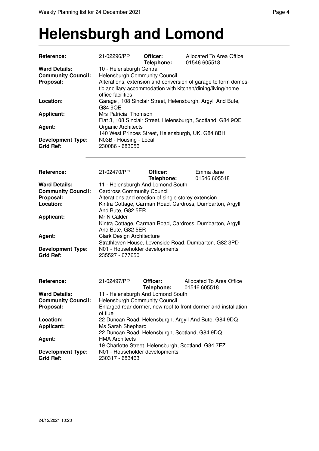#### **Helensburgh and Lomond**

| Reference:                                                     | 21/02296/PP                                                                           | Officer:<br>Telephone:                              | Allocated To Area Office<br>01546 605518                                                                                      |
|----------------------------------------------------------------|---------------------------------------------------------------------------------------|-----------------------------------------------------|-------------------------------------------------------------------------------------------------------------------------------|
| <b>Ward Details:</b><br><b>Community Council:</b><br>Proposal: | 10 - Helensburgh Central<br><b>Helensburgh Community Council</b><br>office facilities |                                                     | Alterations, extension and conversion of garage to form domes-<br>tic ancillary accommodation with kitchen/dining/living/home |
| Location:                                                      | G84 9QE                                                                               |                                                     | Garage, 108 Sinclair Street, Helensburgh, Argyll And Bute,                                                                    |
| <b>Applicant:</b>                                              | Mrs Patricia Thomson                                                                  |                                                     | Flat 3, 108 Sinclair Street, Helensburgh, Scotland, G84 9QE                                                                   |
| Agent:                                                         | <b>Organic Architects</b>                                                             |                                                     | 140 West Princes Street, Helensburgh, UK, G84 8BH                                                                             |
| <b>Development Type:</b><br><b>Grid Ref:</b>                   | N03B - Housing - Local<br>230086 - 683056                                             |                                                     |                                                                                                                               |
| Reference:                                                     | 21/02470/PP                                                                           | Officer:<br>Telephone:                              | Emma Jane<br>01546 605518                                                                                                     |
| <b>Ward Details:</b><br><b>Community Council:</b>              | <b>Cardross Community Council</b>                                                     | 11 - Helensburgh And Lomond South                   |                                                                                                                               |
| Proposal:                                                      |                                                                                       | Alterations and erection of single storey extension |                                                                                                                               |
| Location:                                                      | And Bute, G82 5ER                                                                     |                                                     | Kintra Cottage, Carman Road, Cardross, Dumbarton, Argyll                                                                      |
| <b>Applicant:</b>                                              | Mr N Calder<br>And Bute, G82 5ER                                                      |                                                     | Kintra Cottage, Carman Road, Cardross, Dumbarton, Argyll                                                                      |
| Agent:                                                         | <b>Clark Design Architecture</b>                                                      |                                                     | Strathleven House, Levenside Road, Dumbarton, G82 3PD                                                                         |
| <b>Development Type:</b><br><b>Grid Ref:</b>                   | N01 - Householder developments<br>235527 - 677650                                     |                                                     |                                                                                                                               |
| Reference:                                                     | 21/02497/PP                                                                           | Officer:<br>Telephone:                              | Allocated To Area Office<br>01546 605518                                                                                      |
| <b>Ward Details:</b>                                           |                                                                                       | 11 - Helensburgh And Lomond South                   |                                                                                                                               |

| <b>IBIBDIONE:</b> UID40 0000 18                                            |
|----------------------------------------------------------------------------|
| 11 - Helensburgh And Lomond South                                          |
| <b>Helensburgh Community Council</b>                                       |
| Enlarged rear dormer, new roof to front dormer and installation<br>of flue |
| 22 Duncan Road, Helensburgh, Argyll And Bute, G84 9DQ                      |
| Ms Sarah Shephard                                                          |
| 22 Duncan Road, Helensburgh, Scotland, G84 9DQ                             |
| <b>HMA Architects</b>                                                      |
| 19 Charlotte Street, Helensburgh, Scotland, G84 7EZ                        |
| N01 - Householder developments                                             |
| 230317 - 683463                                                            |
|                                                                            |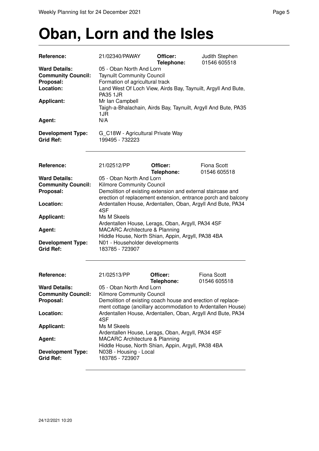## **Oban, Lorn and the Isles**

| Reference:                                                                                       | 21/02340/PAWAY                                                                                                                                                                                                                                                                   | Officer:<br>Telephone:                                                                                                       | Judith Stephen<br>01546 605518     |
|--------------------------------------------------------------------------------------------------|----------------------------------------------------------------------------------------------------------------------------------------------------------------------------------------------------------------------------------------------------------------------------------|------------------------------------------------------------------------------------------------------------------------------|------------------------------------|
| <b>Ward Details:</b><br><b>Community Council:</b><br>Proposal:<br>Location:<br><b>Applicant:</b> | 05 - Oban North And Lorn<br><b>Taynuilt Community Council</b><br>Formation of agricultural track<br>Land West Of Loch View, Airds Bay, Taynuilt, Argyll And Bute,<br><b>PA35 1JR</b><br>Mr Ian Campbell<br>Taigh-a-Bhalachain, Airds Bay, Taynuilt, Argyll And Bute, PA35<br>1JR |                                                                                                                              |                                    |
| Agent:                                                                                           | N/A                                                                                                                                                                                                                                                                              |                                                                                                                              |                                    |
| <b>Development Type:</b><br><b>Grid Ref:</b>                                                     | G_C18W - Agricultural Private Way<br>199495 - 732223                                                                                                                                                                                                                             |                                                                                                                              |                                    |
| Reference:                                                                                       | 21/02512/PP                                                                                                                                                                                                                                                                      | Officer:<br>Telephone:                                                                                                       | <b>Fiona Scott</b><br>01546 605518 |
| <b>Ward Details:</b>                                                                             | 05 - Oban North And Lorn                                                                                                                                                                                                                                                         |                                                                                                                              |                                    |
| <b>Community Council:</b><br>Proposal:                                                           | Kilmore Community Council                                                                                                                                                                                                                                                        | Demolition of existing extension and external staircase and<br>erection of replacement extension, entrance porch and balcony |                                    |
| Location:                                                                                        | 4SF                                                                                                                                                                                                                                                                              | Ardentallen House, Ardentallen, Oban, Argyll And Bute, PA34                                                                  |                                    |
| <b>Applicant:</b>                                                                                | Ms M Skeels                                                                                                                                                                                                                                                                      | Ardentallen House, Lerags, Oban, Argyll, PA34 4SF                                                                            |                                    |
| Agent:                                                                                           | <b>MACARC Architecture &amp; Planning</b>                                                                                                                                                                                                                                        | Hiddle House, North Shian, Appin, Argyll, PA38 4BA                                                                           |                                    |
| <b>Development Type:</b><br><b>Grid Ref:</b>                                                     | N01 - Householder developments<br>183785 - 723907                                                                                                                                                                                                                                |                                                                                                                              |                                    |
| Reference:                                                                                       | 21/02513/PP                                                                                                                                                                                                                                                                      | Officer:<br>Telephone:                                                                                                       | <b>Fiona Scott</b><br>01546 605518 |
| <b>Ward Details:</b><br><b>Community Council:</b><br>Proposal:                                   | 05 - Oban North And Lorn<br>Kilmore Community Council                                                                                                                                                                                                                            | Demolition of existing coach house and erection of replace-                                                                  |                                    |
| Location:                                                                                        | 4SF                                                                                                                                                                                                                                                                              | ment cottage (ancillary accommodation to Ardentallen House)<br>Ardentallen House, Ardentallen, Oban, Argyll And Bute, PA34   |                                    |
| <b>Applicant:</b>                                                                                | Ms M Skeels                                                                                                                                                                                                                                                                      | Ardentallen House, Lerags, Oban, Argyll, PA34 4SF                                                                            |                                    |
| Agent:                                                                                           | <b>MACARC Architecture &amp; Planning</b>                                                                                                                                                                                                                                        | Hiddle House, North Shian, Appin, Argyll, PA38 4BA                                                                           |                                    |
| <b>Development Type:</b><br><b>Grid Ref:</b>                                                     | N03B - Housing - Local<br>183785 - 723907                                                                                                                                                                                                                                        |                                                                                                                              |                                    |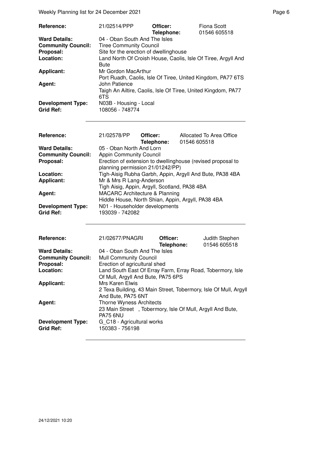Weekly Planning list for 24 December 2021 **Page 6** and the end of the Page 6

| <b>Reference:</b>                            | 21/02514/PPP                                                                       | Officer:<br>Telephone: | Fiona Scott<br>01546 605518 |
|----------------------------------------------|------------------------------------------------------------------------------------|------------------------|-----------------------------|
| <b>Ward Details:</b>                         | 04 - Oban South And The Isles                                                      |                        |                             |
| <b>Community Council:</b>                    | <b>Tiree Community Council</b>                                                     |                        |                             |
| Proposal:                                    | Site for the erection of dwellinghouse                                             |                        |                             |
| Location:                                    | Land North Of Croish House, Caolis, Isle Of Tiree, Argyll And<br><b>Bute</b>       |                        |                             |
| <b>Applicant:</b>                            | Mr Gordon MacArthur<br>Port Ruadh, Caolis, Isle Of Tiree, United Kingdom, PA77 6TS |                        |                             |
| Agent:                                       | John Patience                                                                      |                        |                             |
|                                              | Taigh An Ailtire, Caolis, Isle Of Tiree, United Kingdom, PA77<br>6TS               |                        |                             |
| <b>Development Type:</b><br><b>Grid Ref:</b> | N03B - Housing - Local<br>108056 - 748774                                          |                        |                             |

| <b>Reference:</b>                            | 21/02578/PP                                        | Officer:<br>Telephone: | Allocated To Area Office<br>01546 605518                    |
|----------------------------------------------|----------------------------------------------------|------------------------|-------------------------------------------------------------|
| <b>Ward Details:</b>                         | 05 - Oban North And Lorn                           |                        |                                                             |
| <b>Community Council:</b>                    | <b>Appin Community Council</b>                     |                        |                                                             |
| Proposal:                                    | planning permission 21/01242/PP)                   |                        | Erection of extension to dwellinghouse (revised proposal to |
| Location:                                    |                                                    |                        | Tigh-Aisig Rubha Garbh, Appin, Argyll And Bute, PA38 4BA    |
| <b>Applicant:</b>                            | Mr & Mrs R Lang-Anderson                           |                        |                                                             |
|                                              | Tigh Aisig, Appin, Argyll, Scotland, PA38 4BA      |                        |                                                             |
| Agent:                                       | <b>MACARC Architecture &amp; Planning</b>          |                        |                                                             |
|                                              | Hiddle House, North Shian, Appin, Argyll, PA38 4BA |                        |                                                             |
| <b>Development Type:</b><br><b>Grid Ref:</b> | N01 - Householder developments<br>193039 - 742082  |                        |                                                             |

| <b>Reference:</b>         | 21/02677/PNAGRI                                                                        | Officer:<br>Telephone: | Judith Stephen<br>01546 605518 |
|---------------------------|----------------------------------------------------------------------------------------|------------------------|--------------------------------|
| <b>Ward Details:</b>      | 04 - Oban South And The Isles                                                          |                        |                                |
| <b>Community Council:</b> | <b>Mull Community Council</b>                                                          |                        |                                |
| Proposal:                 | Erection of agricultural shed                                                          |                        |                                |
| Location:                 | Land South East Of Erray Farm, Erray Road, Tobermory, Isle                             |                        |                                |
|                           | Of Mull, Argyll And Bute, PA75 6PS                                                     |                        |                                |
| <b>Applicant:</b>         | Mrs Karen Elwis                                                                        |                        |                                |
|                           | 2 Texa Building, 43 Main Street, Tobermory, Isle Of Mull, Argyll<br>And Bute, PA75 6NT |                        |                                |
| Agent:                    | <b>Thorne Wyness Architects</b>                                                        |                        |                                |
|                           | 23 Main Street, Tobermory, Isle Of Mull, Argyll And Bute,                              |                        |                                |
|                           | <b>PA75 6NU</b>                                                                        |                        |                                |
| <b>Development Type:</b>  | G C18 - Agricultural works                                                             |                        |                                |
| <b>Grid Ref:</b>          | 150383 - 756198                                                                        |                        |                                |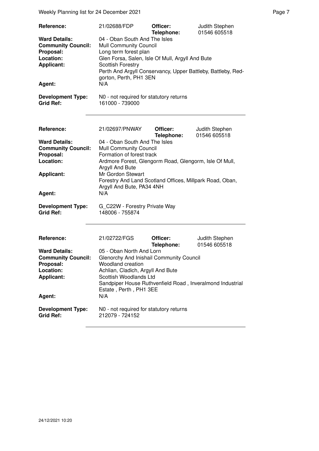Weekly Planning list for 24 December 2021 **Page 7** Neekly Planning list for 24 December 2021

| Reference:<br><b>Ward Details:</b><br><b>Community Council:</b><br>Proposal:<br>Location:<br><b>Applicant:</b><br>Agent:                                                 | 21/02688/FDP<br>04 - Oban South And The Isles<br>Mull Community Council<br>Long term forest plan<br>Glen Forsa, Salen, Isle Of Mull, Argyll And Bute<br><b>Scottish Forestry</b><br>Perth And Argyll Conservancy, Upper Battleby, Battleby, Red-<br>gorton, Perth, PH1 3EN<br>N/A                                                                                   | Officer:<br>Telephone: | Judith Stephen<br>01546 605518 |
|--------------------------------------------------------------------------------------------------------------------------------------------------------------------------|---------------------------------------------------------------------------------------------------------------------------------------------------------------------------------------------------------------------------------------------------------------------------------------------------------------------------------------------------------------------|------------------------|--------------------------------|
| <b>Development Type:</b><br><b>Grid Ref:</b>                                                                                                                             | N0 - not required for statutory returns<br>161000 - 739000                                                                                                                                                                                                                                                                                                          |                        |                                |
| Reference:<br><b>Ward Details:</b><br><b>Community Council:</b><br>Proposal:<br>Location:<br><b>Applicant:</b><br>Agent:<br><b>Development Type:</b><br><b>Grid Ref:</b> | 21/02697/PNWAY<br>04 - Oban South And The Isles<br><b>Mull Community Council</b><br>Formation of forest track<br>Ardmore Forest, Glengorm Road, Glengorm, Isle Of Mull,<br>Argyll And Bute<br>Mr Gordon Stewart<br>Forestry And Land Scotland Offices, Millpark Road, Oban,<br>Argyll And Bute, PA34 4NH<br>N/A<br>G C22W - Forestry Private Way<br>148006 - 755874 | Officer:<br>Telephone: | Judith Stephen<br>01546 605518 |
| Reference:<br><b>Ward Details:</b><br><b>Community Council:</b><br>Proposal:<br>Location:<br><b>Applicant:</b><br>Agent:                                                 | 21/02722/FGS<br>05 - Oban North And Lorn<br>Glenorchy And Inishail Community Council<br>Woodland creation<br>Achlian, Cladich, Argyll And Bute<br>Scottish Woodlands Ltd<br>Sandpiper House Ruthvenfield Road, Inveralmond Industrial<br>Estate, Perth, PH1 3EE<br>N/A                                                                                              | Officer:<br>Telephone: | Judith Stephen<br>01546 605518 |
| <b>Development Type:</b><br><b>Grid Ref:</b>                                                                                                                             | N0 - not required for statutory returns<br>212079 - 724152                                                                                                                                                                                                                                                                                                          |                        |                                |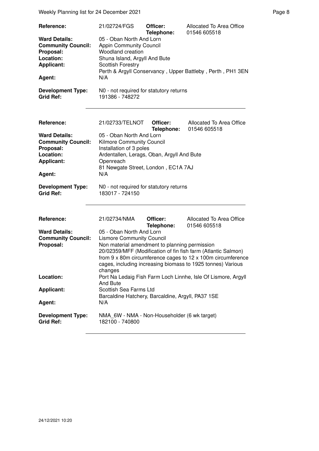Weekly Planning list for 24 December 2021 **Page 8** Page 8

| Reference:<br><b>Ward Details:</b><br><b>Community Council:</b><br>Proposal:<br>Location:<br><b>Applicant:</b><br>Agent:<br><b>Development Type:</b><br><b>Grid Ref:</b> | 21/02724/FGS<br>05 - Oban North And Lorn<br><b>Appin Community Council</b><br><b>Woodland creation</b><br>Shuna Island, Argyll And Bute<br><b>Scottish Forestry</b><br>N/A<br>N0 - not required for statutory returns<br>191386 - 748272                                                                      | Officer:<br>Telephone: | Allocated To Area Office<br>01546 605518<br>Perth & Argyll Conservancy, Upper Battleby, Perth, PH1 3EN                                                                                                                                                                                                   |
|--------------------------------------------------------------------------------------------------------------------------------------------------------------------------|---------------------------------------------------------------------------------------------------------------------------------------------------------------------------------------------------------------------------------------------------------------------------------------------------------------|------------------------|----------------------------------------------------------------------------------------------------------------------------------------------------------------------------------------------------------------------------------------------------------------------------------------------------------|
| Reference:<br><b>Ward Details:</b><br><b>Community Council:</b><br>Proposal:<br>Location:<br><b>Applicant:</b><br>Agent:<br><b>Development Type:</b><br><b>Grid Ref:</b> | 21/02733/TELNOT<br>05 - Oban North And Lorn<br>Kilmore Community Council<br>Installation of 3 poles<br>Ardentallen, Lerags, Oban, Argyll And Bute<br>Openreach<br>81 Newgate Street, London, EC1A 7AJ<br>N/A<br>N0 - not required for statutory returns<br>183017 - 724150                                    | Officer:<br>Telephone: | Allocated To Area Office<br>01546 605518                                                                                                                                                                                                                                                                 |
| Reference:<br><b>Ward Details:</b><br><b>Community Council:</b><br>Proposal:<br>Location:<br><b>Applicant:</b><br>Agent:<br><b>Development Type:</b><br><b>Grid Ref:</b> | 21/02734/NMA<br>05 - Oban North And Lorn<br><b>Lismore Community Council</b><br>Non material amendment to planning permission<br>changes<br>And Bute<br>Scottish Sea Farms Ltd<br>Barcaldine Hatchery, Barcaldine, Argyll, PA37 1SE<br>N/A<br>NMA_6W - NMA - Non-Householder (6 wk target)<br>182100 - 740800 | Officer:<br>Telephone: | Allocated To Area Office<br>01546 605518<br>20/02359/MFF (Modification of fin fish farm (Atlantic Salmon)<br>from 9 x 80m circumference cages to 12 x 100m circumference<br>cages, including increasing biomass to 1925 tonnes) Various<br>Port Na Ledaig Fish Farm Loch Linnhe, Isle Of Lismore, Argyll |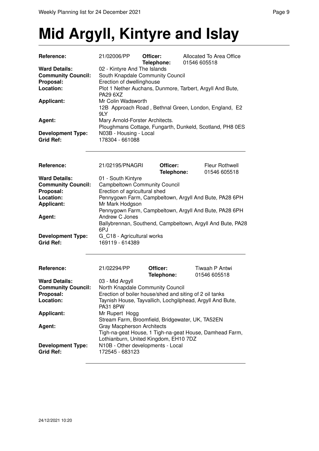# **Mid Argyll, Kintyre and Islay**

| <b>Reference:</b>         | 21/02006/PP                                                                                                                            | Officer:<br>Telephone:                                                     | Allocated To Area Office<br>01546 605518                 |  |  |
|---------------------------|----------------------------------------------------------------------------------------------------------------------------------------|----------------------------------------------------------------------------|----------------------------------------------------------|--|--|
| <b>Ward Details:</b>      | 02 - Kintyre And The Islands                                                                                                           |                                                                            |                                                          |  |  |
| <b>Community Council:</b> | South Knapdale Community Council                                                                                                       |                                                                            |                                                          |  |  |
| Proposal:                 | Erection of dwellinghouse                                                                                                              |                                                                            |                                                          |  |  |
| Location:                 | Plot 1 Nether Auchans, Dunmore, Tarbert, Argyll And Bute,                                                                              |                                                                            |                                                          |  |  |
|                           | <b>PA29 6XZ</b>                                                                                                                        |                                                                            |                                                          |  |  |
| <b>Applicant:</b>         | Mr Colin Wadsworth<br>12B Approach Road, Bethnal Green, London, England, E2                                                            |                                                                            |                                                          |  |  |
|                           |                                                                                                                                        |                                                                            |                                                          |  |  |
|                           | 9LY                                                                                                                                    |                                                                            |                                                          |  |  |
| Agent:                    | Mary Arnold-Forster Architects.                                                                                                        |                                                                            |                                                          |  |  |
|                           |                                                                                                                                        |                                                                            | Ploughmans Cottage, Fungarth, Dunkeld, Scotland, PH8 0ES |  |  |
| <b>Development Type:</b>  | N03B - Housing - Local                                                                                                                 |                                                                            |                                                          |  |  |
| <b>Grid Ref:</b>          | 178304 - 661088                                                                                                                        |                                                                            |                                                          |  |  |
|                           |                                                                                                                                        |                                                                            |                                                          |  |  |
|                           |                                                                                                                                        |                                                                            |                                                          |  |  |
| Reference:                | 21/02195/PNAGRI                                                                                                                        | Officer:                                                                   | Fleur Rothwell                                           |  |  |
|                           |                                                                                                                                        | Telephone:                                                                 | 01546 605518                                             |  |  |
| <b>Ward Details:</b>      | 01 - South Kintyre                                                                                                                     |                                                                            |                                                          |  |  |
| <b>Community Council:</b> | <b>Campbeltown Community Council</b>                                                                                                   |                                                                            |                                                          |  |  |
| Proposal:                 | Erection of agricultural shed                                                                                                          |                                                                            |                                                          |  |  |
| Location:                 | Pennygown Farm, Campbeltown, Argyll And Bute, PA28 6PH                                                                                 |                                                                            |                                                          |  |  |
| <b>Applicant:</b>         | Mr Mark Hodgson                                                                                                                        |                                                                            |                                                          |  |  |
|                           |                                                                                                                                        |                                                                            |                                                          |  |  |
| Agent:                    | Pennygown Farm, Campbeltown, Argyll And Bute, PA28 6PH<br>Andrew C Jones<br>Ballybrennan, Southend, Campbeltown, Argyll And Bute, PA28 |                                                                            |                                                          |  |  |
|                           |                                                                                                                                        |                                                                            |                                                          |  |  |
|                           | 6PJ                                                                                                                                    |                                                                            |                                                          |  |  |
| <b>Development Type:</b>  | G_C18 - Agricultural works                                                                                                             |                                                                            |                                                          |  |  |
| <b>Grid Ref:</b>          | 169119 - 614389                                                                                                                        |                                                                            |                                                          |  |  |
|                           |                                                                                                                                        |                                                                            |                                                          |  |  |
|                           |                                                                                                                                        |                                                                            |                                                          |  |  |
| Reference:                | 21/02294/PP                                                                                                                            | Officer:                                                                   | Tiwaah P Antwi                                           |  |  |
|                           |                                                                                                                                        | Telephone:                                                                 | 01546 605518                                             |  |  |
| <b>Ward Details:</b>      | 03 - Mid Argyll                                                                                                                        |                                                                            |                                                          |  |  |
| <b>Community Council:</b> | North Knapdale Community Council                                                                                                       |                                                                            |                                                          |  |  |
| Proposal:                 | Erection of boiler house/shed and siting of 2 oil tanks                                                                                |                                                                            |                                                          |  |  |
| Location:                 | Taynish House, Tayvallich, Lochgilphead, Argyll And Bute,                                                                              |                                                                            |                                                          |  |  |
|                           | <b>PA31 8PW</b>                                                                                                                        |                                                                            |                                                          |  |  |
| <b>Applicant:</b>         | Mr Rupert Hogg                                                                                                                         |                                                                            |                                                          |  |  |
|                           |                                                                                                                                        |                                                                            | Stream Farm, Broomfield, Bridgewater, UK, TA52EN         |  |  |
| Agent:                    | <b>Gray Macpherson Architects</b><br>Tigh-na-geat House, 1 Tigh-na-geat House, Damhead Farm,                                           |                                                                            |                                                          |  |  |
|                           |                                                                                                                                        |                                                                            |                                                          |  |  |
| <b>Development Type:</b>  |                                                                                                                                        | Lothianburn, United Kingdom, EH10 7DZ<br>N10B - Other developments - Local |                                                          |  |  |
| <b>Grid Ref:</b>          | 172545 - 683123                                                                                                                        |                                                                            |                                                          |  |  |
|                           |                                                                                                                                        |                                                                            |                                                          |  |  |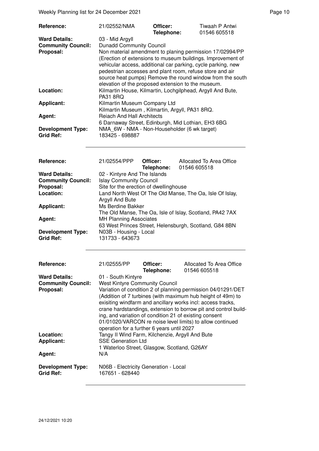Weekly Planning list for 24 December 2021 **Page 10** Page 10

| Reference:                                                                  | 21/02552/NMA                                                                                                                                                                                                                                                                                                                                                                                                                                                                                      | Officer:<br>Telephone: | Tiwaah P Antwi<br>01546 605518                           |  |  |
|-----------------------------------------------------------------------------|---------------------------------------------------------------------------------------------------------------------------------------------------------------------------------------------------------------------------------------------------------------------------------------------------------------------------------------------------------------------------------------------------------------------------------------------------------------------------------------------------|------------------------|----------------------------------------------------------|--|--|
| <b>Ward Details:</b><br><b>Community Council:</b><br>Proposal:              | 03 - Mid Argyll<br><b>Dunadd Community Council</b><br>Non material amendment to planing permission 17/02994/PP<br>(Erection of extensions to museum buildings. Improvement of<br>vehicular access, additional car parking, cycle parking, new<br>pedestrian accesses and plant room, refuse store and air<br>source heat pumps) Remove the round window from the south<br>elevation of the proposed extension to the museum.                                                                      |                        |                                                          |  |  |
| Location:                                                                   | Kilmartin House, Kilmartin, Lochgilphead, Argyll And Bute,<br><b>PA31 8RQ</b><br>Kilmartin Museum Company Ltd<br>Kilmartin Museum, Kilmartin, Argyll, PA31 8RQ.<br><b>Reiach And Hall Architects</b><br>6 Darnaway Street, Edinburgh, Mid Lothian, EH3 6BG<br>NMA 6W - NMA - Non-Householder (6 wk target)<br>183425 - 698887                                                                                                                                                                     |                        |                                                          |  |  |
| <b>Applicant:</b>                                                           |                                                                                                                                                                                                                                                                                                                                                                                                                                                                                                   |                        |                                                          |  |  |
| Agent:                                                                      |                                                                                                                                                                                                                                                                                                                                                                                                                                                                                                   |                        |                                                          |  |  |
| <b>Development Type:</b><br><b>Grid Ref:</b>                                |                                                                                                                                                                                                                                                                                                                                                                                                                                                                                                   |                        |                                                          |  |  |
| Reference:                                                                  | 21/02554/PPP                                                                                                                                                                                                                                                                                                                                                                                                                                                                                      | Officer:<br>Telephone: | Allocated To Area Office<br>01546 605518                 |  |  |
| <b>Ward Details:</b><br><b>Community Council:</b><br>Proposal:<br>Location: | 02 - Kintyre And The Islands<br><b>Islay Community Council</b><br>Site for the erection of dwellinghouse<br>Land North West Of The Old Manse, The Oa, Isle Of Islay,<br>Argyll And Bute                                                                                                                                                                                                                                                                                                           |                        |                                                          |  |  |
| <b>Applicant:</b>                                                           | Ms Berdine Bakker                                                                                                                                                                                                                                                                                                                                                                                                                                                                                 |                        | The Old Manse, The Oa, Isle of Islay, Scotland, PA42 7AX |  |  |
| Agent:                                                                      | <b>MH Planning Associates</b><br>63 West Princes Street, Helensburgh, Scotland, G84 8BN                                                                                                                                                                                                                                                                                                                                                                                                           |                        |                                                          |  |  |
| <b>Development Type:</b><br><b>Grid Ref:</b>                                | N03B - Housing - Local<br>131733 - 643673                                                                                                                                                                                                                                                                                                                                                                                                                                                         |                        |                                                          |  |  |
| Reference:<br><b>Ward Details:</b>                                          | 21/02555/PP                                                                                                                                                                                                                                                                                                                                                                                                                                                                                       | Officer:<br>Telephone: | Allocated To Area Office<br>01546 605518                 |  |  |
| <b>Community Council:</b><br>Proposal:                                      | 01 - South Kintyre<br><b>West Kintyre Community Council</b><br>Variation of condition 2 of planning permission 04/01291/DET<br>(Addition of 7 turbines (with maximum hub height of 49m) to<br>exisiting windfarm and ancillary works incl: access tracks,<br>crane hardstandings, extension to borrow pit and control build-<br>ing, and variation of condition 21 of existing consent<br>01/01020/VARCON re noise level limits) to allow continued<br>operation for a further 6 years until 2027 |                        |                                                          |  |  |
| Location:<br><b>Applicant:</b><br>Agent:                                    | Tangy II Wind Farm, Kilchenzie, Argyll And Bute<br><b>SSE Generation Ltd</b><br>1 Waterloo Street, Glasgow, Scotland, G26AY<br>N/A                                                                                                                                                                                                                                                                                                                                                                |                        |                                                          |  |  |
| <b>Development Type:</b><br><b>Grid Ref:</b>                                | N06B - Electricity Generation - Local<br>167651 - 628440                                                                                                                                                                                                                                                                                                                                                                                                                                          |                        |                                                          |  |  |